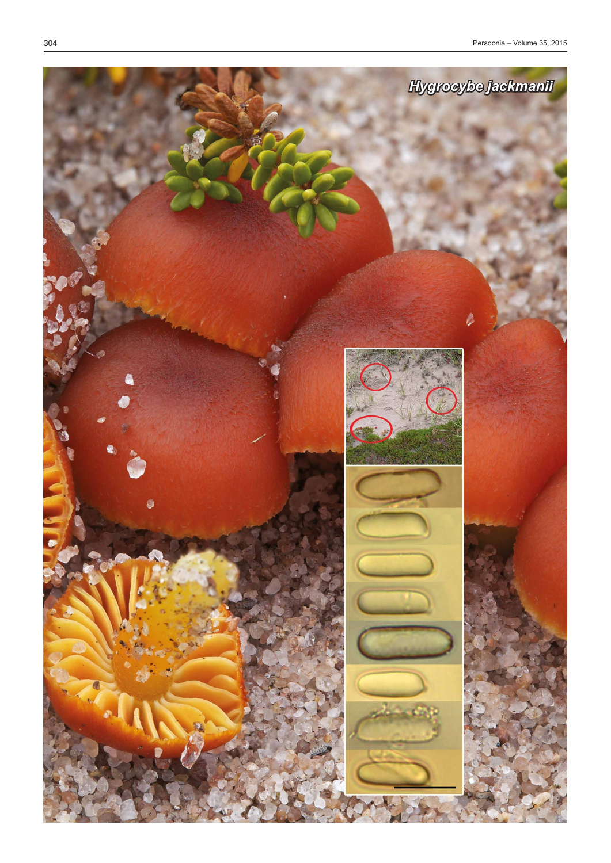